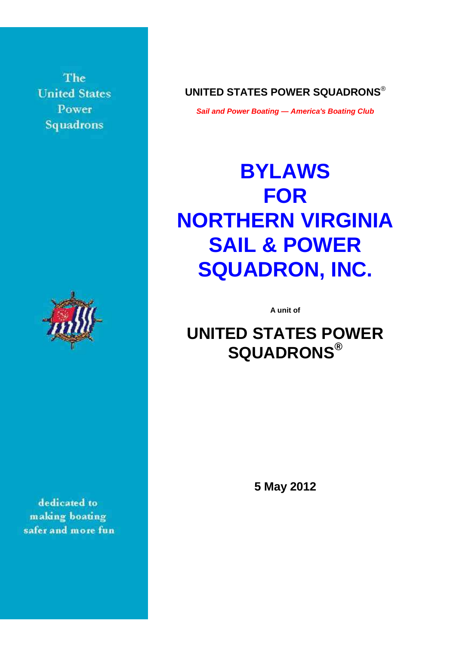The **United States** Power Squadrons



dedicated to making boating safer and more fun **UNITED STATES POWER SQUADRONS**®

**Sail and Power Boating — America's Boating Club**

# **BYLAWS FOR NORTHERN VIRGINIA SAIL & POWER SQUADRON, INC.**

**A unit of** 

# **UNITED STATES POWER SQUADRONS®**

**5 May 2012**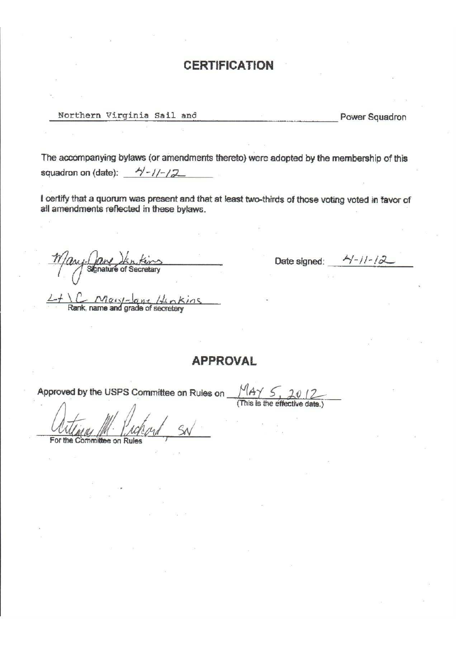# **CERTIFICATION**

Northern Virginia Sail and

Power Squadron

The accompanying bylaws (or amendments thereto) were adopted by the membership of this squadron on (date): 4/-1/-12

I certify that a quorum was present and that at least two-thirds of those voting voted in favor of all amendments reflected in these bylaws.

& of Secretary

<u>C Mary-Jane</u> Hinkins

Date signed:  $\frac{\lambda}{1-\lambda}$ 

# **APPROVAL**

Approved by the USPS Committee on Rules on

 $MAY \le$ 

 $For$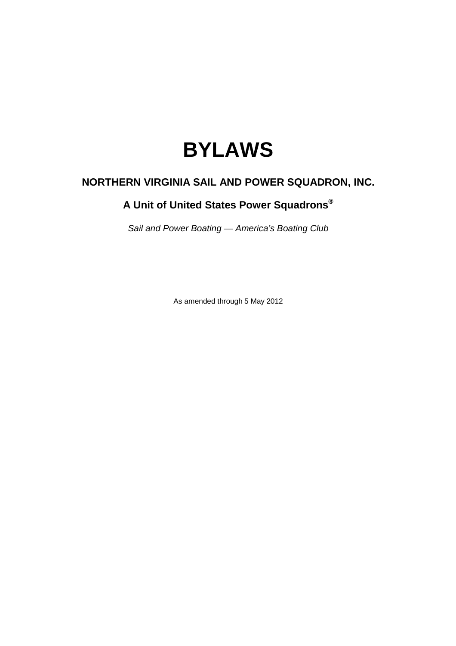# **BYLAWS**

# **NORTHERN VIRGINIA SAIL AND POWER SQUADRON, INC.**

# **A Unit of United States Power Squadrons®**

Sail and Power Boating — America's Boating Club

As amended through 5 May 2012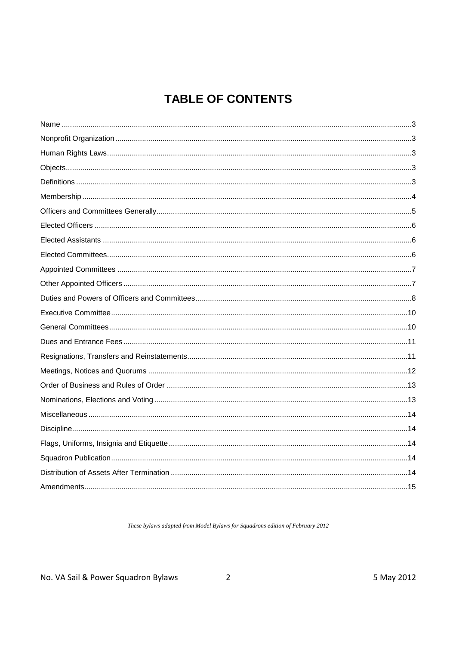# **TABLE OF CONTENTS**

These bylaws adapted from Model Bylaws for Squadrons edition of February 2012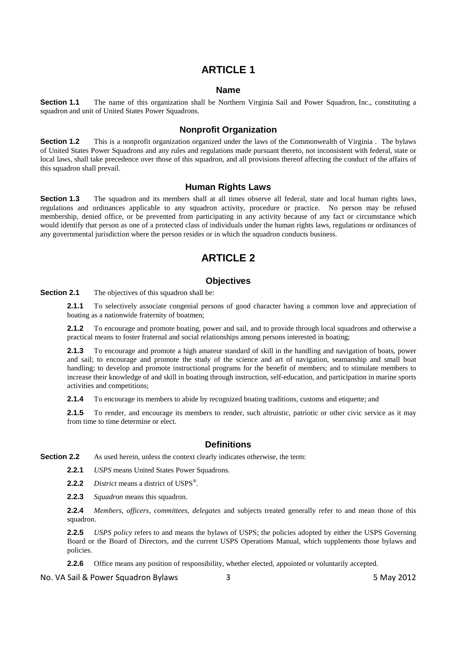#### **Name**

**Section 1.1** The name of this organization shall be Northern Virginia Sail and Power Squadron, Inc., constituting a squadron and unit of United States Power Squadrons.

#### **Nonprofit Organization**

**Section 1.2** This is a nonprofit organization organized under the laws of the Commonwealth of Virginia. The bylaws of United States Power Squadrons and any rules and regulations made pursuant thereto, not inconsistent with federal, state or local laws, shall take precedence over those of this squadron, and all provisions thereof affecting the conduct of the affairs of this squadron shall prevail.

#### **Human Rights Laws**

**Section 1.3** The squadron and its members shall at all times observe all federal, state and local human rights laws, regulations and ordinances applicable to any squadron activity, procedure or practice. No person may be refused membership, denied office, or be prevented from participating in any activity because of any fact or circumstance which would identify that person as one of a protected class of individuals under the human rights laws, regulations or ordinances of any governmental jurisdiction where the person resides or in which the squadron conducts business.

# **ARTICLE 2**

#### **Objectives**

**Section 2.1** The objectives of this squadron shall be:

**2.1.1** To selectively associate congenial persons of good character having a common love and appreciation of boating as a nationwide fraternity of boatmen;

**2.1.2** To encourage and promote boating, power and sail, and to provide through local squadrons and otherwise a practical means to foster fraternal and social relationships among persons interested in boating;

**2.1.3** To encourage and promote a high amateur standard of skill in the handling and navigation of boats, power and sail; to encourage and promote the study of the science and art of navigation, seamanship and small boat handling; to develop and promote instructional programs for the benefit of members; and to stimulate members to increase their knowledge of and skill in boating through instruction, self-education, and participation in marine sports activities and competitions;

**2.1.4** To encourage its members to abide by recognized boating traditions, customs and etiquette; and

**2.1.5** To render, and encourage its members to render, such altruistic, patriotic or other civic service as it may from time to time determine or elect.

#### **Definitions**

**Section 2.2** As used herein, unless the context clearly indicates otherwise, the term:

**2.2.1** *USPS* means United States Power Squadrons.

**2.2.2** *District* means a district of USPS® .

**2.2.3** *Squadron* means this squadron.

**2.2.4** *Members*, *officers*, *committees*, *delegates* and subjects treated generally refer to and mean those of this squadron.

**2.2.5** *USPS policy* refers to and means the bylaws of USPS; the policies adopted by either the USPS Governing Board or the Board of Directors, and the current USPS Operations Manual, which supplements those bylaws and policies.

**2.2.6** Office means any position of responsibility, whether elected, appointed or voluntarily accepted.

No. VA Sail & Power Squadron Bylaws 3 5 May 2012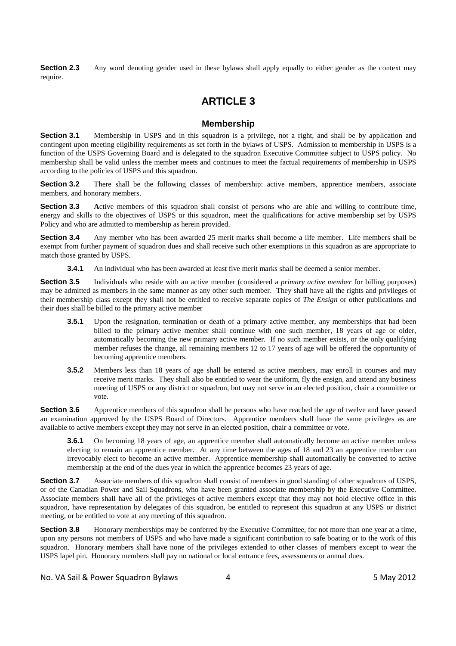**Section 2.3** Any word denoting gender used in these bylaws shall apply equally to either gender as the context may require.

# **ARTICLE 3**

#### **Membership**

**Section 3.1** Membership in USPS and in this squadron is a privilege, not a right, and shall be by application and contingent upon meeting eligibility requirements as set forth in the bylaws of USPS. Admission to membership in USPS is a function of the USPS Governing Board and is delegated to the squadron Executive Committee subject to USPS policy. No membership shall be valid unless the member meets and continues to meet the factual requirements of membership in USPS according to the policies of USPS and this squadron.

**Section 3.2** There shall be the following classes of membership: active members, apprentice members, associate members, and honorary members.

**Section 3.3** Active members of this squadron shall consist of persons who are able and willing to contribute time, energy and skills to the objectives of USPS or this squadron, meet the qualifications for active membership set by USPS Policy and who are admitted to membership as herein provided.

**Section 3.4** Any member who has been awarded 25 merit marks shall become a life member. Life members shall be exempt from further payment of squadron dues and shall receive such other exemptions in this squadron as are appropriate to match those granted by USPS.

**3.4.1** An individual who has been awarded at least five merit marks shall be deemed a senior member.

**Section 3.5** Individuals who reside with an active member (considered a *primary active member* for billing purposes) may be admitted as members in the same manner as any other such member. They shall have all the rights and privileges of their membership class except they shall not be entitled to receive separate copies of *The Ensign* or other publications and their dues shall be billed to the primary active member

- **3.5.1** Upon the resignation, termination or death of a primary active member, any memberships that had been billed to the primary active member shall continue with one such member, 18 years of age or older, automatically becoming the new primary active member. If no such member exists, or the only qualifying member refuses the change, all remaining members 12 to 17 years of age will be offered the opportunity of becoming apprentice members.
- **3.5.2** Members less than 18 years of age shall be entered as active members, may enroll in courses and may receive merit marks. They shall also be entitled to wear the uniform, fly the ensign, and attend any business meeting of USPS or any district or squadron, but may not serve in an elected position, chair a committee or vote.

**Section 3.6** Apprentice members of this squadron shall be persons who have reached the age of twelve and have passed an examination approved by the USPS Board of Directors. Apprentice members shall have the same privileges as are available to active members except they may not serve in an elected position, chair a committee or vote.

**3.6.1** On becoming 18 years of age, an apprentice member shall automatically become an active member unless electing to remain an apprentice member. At any time between the ages of 18 and 23 an apprentice member can irrevocably elect to become an active member. Apprentice membership shall automatically be converted to active membership at the end of the dues year in which the apprentice becomes 23 years of age.

**Section 3.7** Associate members of this squadron shall consist of members in good standing of other squadrons of USPS, or of the Canadian Power and Sail Squadrons, who have been granted associate membership by the Executive Committee. Associate members shall have all of the privileges of active members except that they may not hold elective office in this squadron, have representation by delegates of this squadron, be entitled to represent this squadron at any USPS or district meeting, or be entitled to vote at any meeting of this squadron.

**Section 3.8** Honorary memberships may be conferred by the Executive Committee, for not more than one year at a time, upon any persons not members of USPS and who have made a significant contribution to safe boating or to the work of this squadron. Honorary members shall have none of the privileges extended to other classes of members except to wear the USPS lapel pin. Honorary members shall pay no national or local entrance fees, assessments or annual dues.

No. VA Sail & Power Squadron Bylaws 4 5 May 2012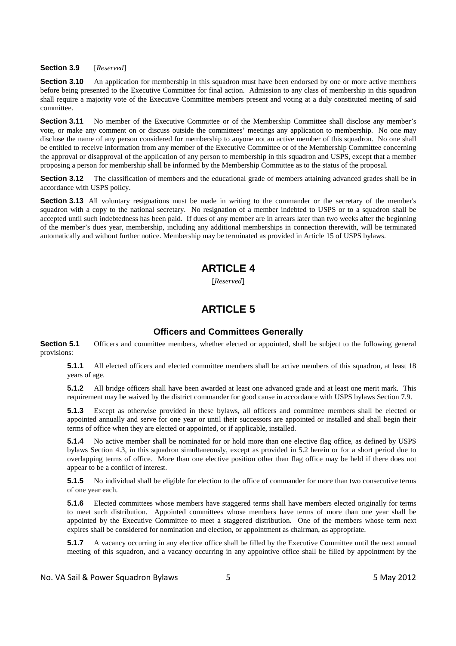#### **Section 3.9** [*Reserved*]

**Section 3.10** An application for membership in this squadron must have been endorsed by one or more active members before being presented to the Executive Committee for final action. Admission to any class of membership in this squadron shall require a majority vote of the Executive Committee members present and voting at a duly constituted meeting of said committee.

**Section 3.11** No member of the Executive Committee or of the Membership Committee shall disclose any member's vote, or make any comment on or discuss outside the committees' meetings any application to membership. No one may disclose the name of any person considered for membership to anyone not an active member of this squadron. No one shall be entitled to receive information from any member of the Executive Committee or of the Membership Committee concerning the approval or disapproval of the application of any person to membership in this squadron and USPS, except that a member proposing a person for membership shall be informed by the Membership Committee as to the status of the proposal.

**Section 3.12** The classification of members and the educational grade of members attaining advanced grades shall be in accordance with USPS policy.

**Section 3.13** All voluntary resignations must be made in writing to the commander or the secretary of the member's squadron with a copy to the national secretary. No resignation of a member indebted to USPS or to a squadron shall be accepted until such indebtedness has been paid. If dues of any member are in arrears later than two weeks after the beginning of the member's dues year, membership, including any additional memberships in connection therewith, will be terminated automatically and without further notice. Membership may be terminated as provided in Article 15 of USPS bylaws.

## **ARTICLE 4**

[*Reserved*]

# **ARTICLE 5**

#### **Officers and Committees Generally**

**Section 5.1** Officers and committee members, whether elected or appointed, shall be subject to the following general provisions:

**5.1.1** All elected officers and elected committee members shall be active members of this squadron, at least 18 years of age.

**5.1.2** All bridge officers shall have been awarded at least one advanced grade and at least one merit mark. This requirement may be waived by the district commander for good cause in accordance with USPS bylaws Section 7.9.

**5.1.3** Except as otherwise provided in these bylaws, all officers and committee members shall be elected or appointed annually and serve for one year or until their successors are appointed or installed and shall begin their terms of office when they are elected or appointed, or if applicable, installed.

**5.1.4** No active member shall be nominated for or hold more than one elective flag office, as defined by USPS bylaws Section 4.3, in this squadron simultaneously, except as provided in 5.2 herein or for a short period due to overlapping terms of office. More than one elective position other than flag office may be held if there does not appear to be a conflict of interest.

**5.1.5** No individual shall be eligible for election to the office of commander for more than two consecutive terms of one year each.

**5.1.6** Elected committees whose members have staggered terms shall have members elected originally for terms to meet such distribution. Appointed committees whose members have terms of more than one year shall be appointed by the Executive Committee to meet a staggered distribution. One of the members whose term next expires shall be considered for nomination and election, or appointment as chairman, as appropriate.

**5.1.7** A vacancy occurring in any elective office shall be filled by the Executive Committee until the next annual meeting of this squadron, and a vacancy occurring in any appointive office shall be filled by appointment by the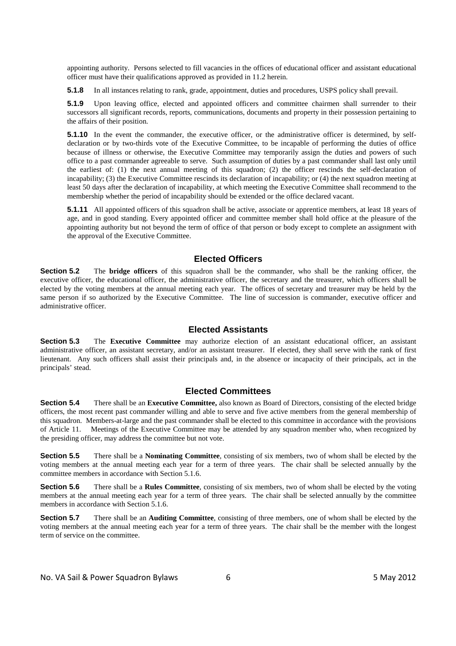appointing authority. Persons selected to fill vacancies in the offices of educational officer and assistant educational officer must have their qualifications approved as provided in 11.2 herein.

**5.1.8** In all instances relating to rank, grade, appointment, duties and procedures, USPS policy shall prevail.

**5.1.9** Upon leaving office, elected and appointed officers and committee chairmen shall surrender to their successors all significant records, reports, communications, documents and property in their possession pertaining to the affairs of their position.

**5.1.10** In the event the commander, the executive officer, or the administrative officer is determined, by selfdeclaration or by two-thirds vote of the Executive Committee, to be incapable of performing the duties of office because of illness or otherwise, the Executive Committee may temporarily assign the duties and powers of such office to a past commander agreeable to serve. Such assumption of duties by a past commander shall last only until the earliest of: (1) the next annual meeting of this squadron; (2) the officer rescinds the self-declaration of incapability; (3) the Executive Committee rescinds its declaration of incapability; or (4) the next squadron meeting at least 50 days after the declaration of incapability, at which meeting the Executive Committee shall recommend to the membership whether the period of incapability should be extended or the office declared vacant.

**5.1.11** All appointed officers of this squadron shall be active, associate or apprentice members, at least 18 years of age, and in good standing. Every appointed officer and committee member shall hold office at the pleasure of the appointing authority but not beyond the term of office of that person or body except to complete an assignment with the approval of the Executive Committee.

#### **Elected Officers**

**Section 5.2** The **bridge officers** of this squadron shall be the commander, who shall be the ranking officer, the executive officer, the educational officer, the administrative officer, the secretary and the treasurer, which officers shall be elected by the voting members at the annual meeting each year. The offices of secretary and treasurer may be held by the same person if so authorized by the Executive Committee. The line of succession is commander, executive officer and administrative officer.

#### **Elected Assistants**

**Section 5.3** The **Executive Committee** may authorize election of an assistant educational officer, an assistant administrative officer, an assistant secretary, and/or an assistant treasurer. If elected, they shall serve with the rank of first lieutenant. Any such officers shall assist their principals and, in the absence or incapacity of their principals, act in the principals' stead.

#### **Elected Committees**

**Section 5.4** There shall be an **Executive Committee**, also known as Board of Directors, consisting of the elected bridge officers, the most recent past commander willing and able to serve and five active members from the general membership of this squadron. Members-at-large and the past commander shall be elected to this committee in accordance with the provisions of Article 11. Meetings of the Executive Committee may be attended by any squadron member who, when recognized by the presiding officer, may address the committee but not vote.

**Section 5.5** There shall be a **Nominating Committee**, consisting of six members, two of whom shall be elected by the voting members at the annual meeting each year for a term of three years. The chair shall be selected annually by the committee members in accordance with Section 5.1.6.

**Section 5.6** There shall be a **Rules Committee**, consisting of six members, two of whom shall be elected by the voting members at the annual meeting each year for a term of three years. The chair shall be selected annually by the committee members in accordance with Section 5.1.6.

**Section 5.7** There shall be an **Auditing Committee**, consisting of three members, one of whom shall be elected by the voting members at the annual meeting each year for a term of three years. The chair shall be the member with the longest term of service on the committee.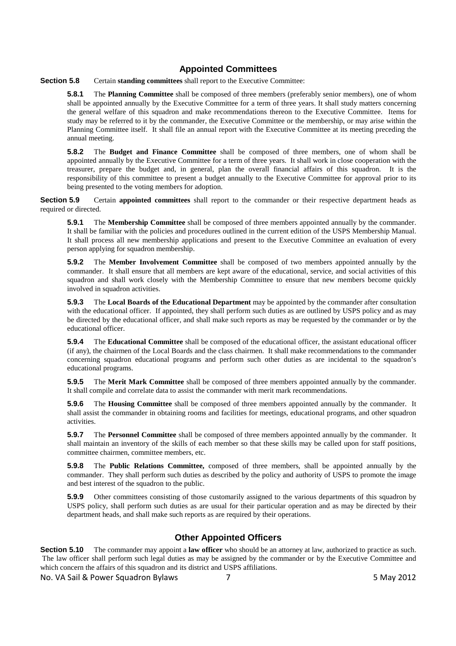#### **Appointed Committees**

**Section 5.8** Certain **standing committees** shall report to the Executive Committee:

**5.8.1** The **Planning Committee** shall be composed of three members (preferably senior members), one of whom shall be appointed annually by the Executive Committee for a term of three years. It shall study matters concerning the general welfare of this squadron and make recommendations thereon to the Executive Committee. Items for study may be referred to it by the commander, the Executive Committee or the membership, or may arise within the Planning Committee itself. It shall file an annual report with the Executive Committee at its meeting preceding the annual meeting.

**5.8.2** The **Budget and Finance Committee** shall be composed of three members, one of whom shall be appointed annually by the Executive Committee for a term of three years. It shall work in close cooperation with the treasurer, prepare the budget and, in general, plan the overall financial affairs of this squadron. It is the responsibility of this committee to present a budget annually to the Executive Committee for approval prior to its being presented to the voting members for adoption.

**Section 5.9** Certain **appointed committees** shall report to the commander or their respective department heads as required or directed.

**5.9.1** The **Membership Committee** shall be composed of three members appointed annually by the commander. It shall be familiar with the policies and procedures outlined in the current edition of the USPS Membership Manual. It shall process all new membership applications and present to the Executive Committee an evaluation of every person applying for squadron membership.

**5.9.2** The **Member Involvement Committee** shall be composed of two members appointed annually by the commander. It shall ensure that all members are kept aware of the educational, service, and social activities of this squadron and shall work closely with the Membership Committee to ensure that new members become quickly involved in squadron activities.

**5.9.3** The **Local Boards of the Educational Department** may be appointed by the commander after consultation with the educational officer. If appointed, they shall perform such duties as are outlined by USPS policy and as may be directed by the educational officer, and shall make such reports as may be requested by the commander or by the educational officer.

**5.9.4** The **Educational Committee** shall be composed of the educational officer, the assistant educational officer (if any), the chairmen of the Local Boards and the class chairmen. It shall make recommendations to the commander concerning squadron educational programs and perform such other duties as are incidental to the squadron's educational programs.

**5.9.5** The **Merit Mark Committee** shall be composed of three members appointed annually by the commander. It shall compile and correlate data to assist the commander with merit mark recommendations.

**5.9.6** The **Housing Committee** shall be composed of three members appointed annually by the commander. It shall assist the commander in obtaining rooms and facilities for meetings, educational programs, and other squadron activities.

**5.9.7** The **Personnel Committee** shall be composed of three members appointed annually by the commander. It shall maintain an inventory of the skills of each member so that these skills may be called upon for staff positions, committee chairmen, committee members, etc.

**5.9.8** The **Public Relations Committee,** composed of three members, shall be appointed annually by the commander. They shall perform such duties as described by the policy and authority of USPS to promote the image and best interest of the squadron to the public.

**5.9.9** Other committees consisting of those customarily assigned to the various departments of this squadron by USPS policy, shall perform such duties as are usual for their particular operation and as may be directed by their department heads, and shall make such reports as are required by their operations.

### **Other Appointed Officers**

**Section 5.10** The commander may appoint a **law officer** who should be an attorney at law, authorized to practice as such. The law officer shall perform such legal duties as may be assigned by the commander or by the Executive Committee and which concern the affairs of this squadron and its district and USPS affiliations.

No. VA Sail & Power Squadron Bylaws **7** 7 The Squadron Bylaws **7** 5 May 2012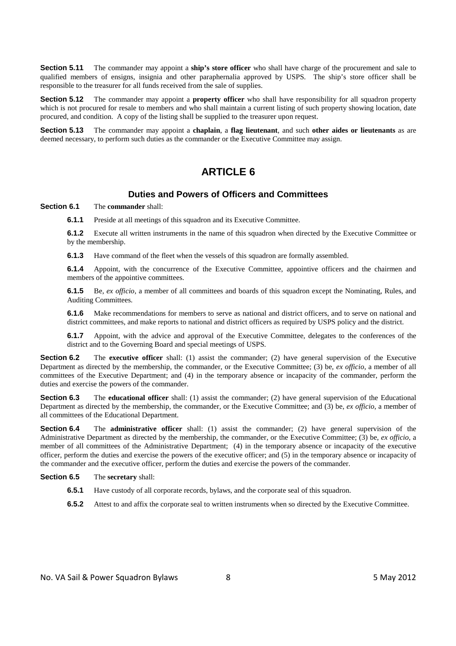**Section 5.11** The commander may appoint a **ship's store officer** who shall have charge of the procurement and sale to qualified members of ensigns, insignia and other paraphernalia approved by USPS. The ship's store officer shall be responsible to the treasurer for all funds received from the sale of supplies.

**Section 5.12** The commander may appoint a **property officer** who shall have responsibility for all squadron property which is not procured for resale to members and who shall maintain a current listing of such property showing location, date procured, and condition. A copy of the listing shall be supplied to the treasurer upon request.

**Section 5.13** The commander may appoint a **chaplain**, a **flag lieutenant**, and such **other aides or lieutenants** as are deemed necessary, to perform such duties as the commander or the Executive Committee may assign.

# **ARTICLE 6**

#### **Duties and Powers of Officers and Committees**

#### **Section 6.1** The **commander** shall:

**6.1.1** Preside at all meetings of this squadron and its Executive Committee.

**6.1.2** Execute all written instruments in the name of this squadron when directed by the Executive Committee or by the membership.

**6.1.3** Have command of the fleet when the vessels of this squadron are formally assembled.

**6.1.4** Appoint, with the concurrence of the Executive Committee, appointive officers and the chairmen and members of the appointive committees.

**6.1.5** Be, *ex officio*, a member of all committees and boards of this squadron except the Nominating, Rules, and Auditing Committees.

**6.1.6** Make recommendations for members to serve as national and district officers, and to serve on national and district committees, and make reports to national and district officers as required by USPS policy and the district.

**6.1.7** Appoint, with the advice and approval of the Executive Committee, delegates to the conferences of the district and to the Governing Board and special meetings of USPS.

**Section 6.2** The **executive officer** shall: (1) assist the commander; (2) have general supervision of the Executive Department as directed by the membership, the commander, or the Executive Committee; (3) be, *ex officio*, a member of all committees of the Executive Department; and (4) in the temporary absence or incapacity of the commander, perform the duties and exercise the powers of the commander.

**Section 6.3** The **educational officer** shall: (1) assist the commander; (2) have general supervision of the Educational Department as directed by the membership, the commander, or the Executive Committee; and (3) be, *ex officio*, a member of all committees of the Educational Department.

**Section 6.4** The **administrative officer** shall: (1) assist the commander; (2) have general supervision of the Administrative Department as directed by the membership, the commander, or the Executive Committee; (3) be, *ex officio*, a member of all committees of the Administrative Department; (4) in the temporary absence or incapacity of the executive officer, perform the duties and exercise the powers of the executive officer; and (5) in the temporary absence or incapacity of the commander and the executive officer, perform the duties and exercise the powers of the commander.

**Section 6.5** The **secretary** shall:

- **6.5.1** Have custody of all corporate records, bylaws, and the corporate seal of this squadron.
- **6.5.2** Attest to and affix the corporate seal to written instruments when so directed by the Executive Committee.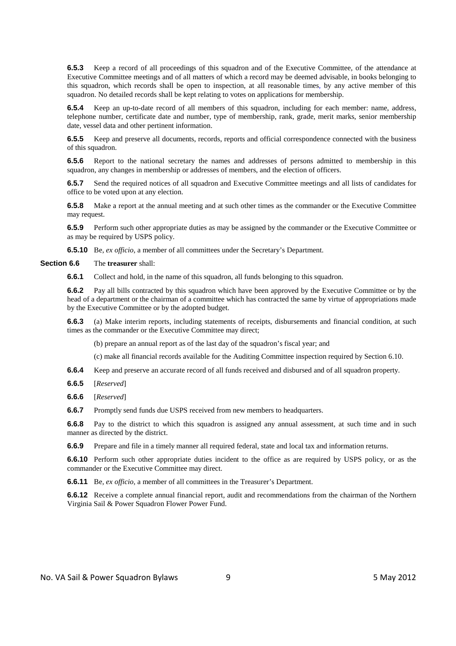**6.5.3** Keep a record of all proceedings of this squadron and of the Executive Committee, of the attendance at Executive Committee meetings and of all matters of which a record may be deemed advisable, in books belonging to this squadron, which records shall be open to inspection, at all reasonable times, by any active member of this squadron. No detailed records shall be kept relating to votes on applications for membership.

**6.5.4** Keep an up-to-date record of all members of this squadron, including for each member: name, address, telephone number, certificate date and number, type of membership, rank, grade, merit marks, senior membership date, vessel data and other pertinent information.

**6.5.5** Keep and preserve all documents, records, reports and official correspondence connected with the business of this squadron.

**6.5.6** Report to the national secretary the names and addresses of persons admitted to membership in this squadron, any changes in membership or addresses of members, and the election of officers.

**6.5.7** Send the required notices of all squadron and Executive Committee meetings and all lists of candidates for office to be voted upon at any election.

**6.5.8** Make a report at the annual meeting and at such other times as the commander or the Executive Committee may request.

**6.5.9** Perform such other appropriate duties as may be assigned by the commander or the Executive Committee or as may be required by USPS policy.

**6.5.10** Be, *ex officio*, a member of all committees under the Secretary's Department.

**Section 6.6** The **treasurer** shall:

**6.6.1** Collect and hold, in the name of this squadron, all funds belonging to this squadron.

**6.6.2** Pay all bills contracted by this squadron which have been approved by the Executive Committee or by the head of a department or the chairman of a committee which has contracted the same by virtue of appropriations made by the Executive Committee or by the adopted budget.

**6.6.3** (a) Make interim reports, including statements of receipts, disbursements and financial condition, at such times as the commander or the Executive Committee may direct;

(b) prepare an annual report as of the last day of the squadron's fiscal year; and

(c) make all financial records available for the Auditing Committee inspection required by Section 6.10.

**6.6.4** Keep and preserve an accurate record of all funds received and disbursed and of all squadron property.

**6.6.5** [*Reserved*]

**6.6.6** [*Reserved*]

**6.6.7** Promptly send funds due USPS received from new members to headquarters.

**6.6.8** Pay to the district to which this squadron is assigned any annual assessment, at such time and in such manner as directed by the district.

**6.6.9** Prepare and file in a timely manner all required federal, state and local tax and information returns.

**6.6.10** Perform such other appropriate duties incident to the office as are required by USPS policy, or as the commander or the Executive Committee may direct.

**6.6.11** Be, *ex officio*, a member of all committees in the Treasurer's Department.

**6.6.12** Receive a complete annual financial report, audit and recommendations from the chairman of the Northern Virginia Sail & Power Squadron Flower Power Fund.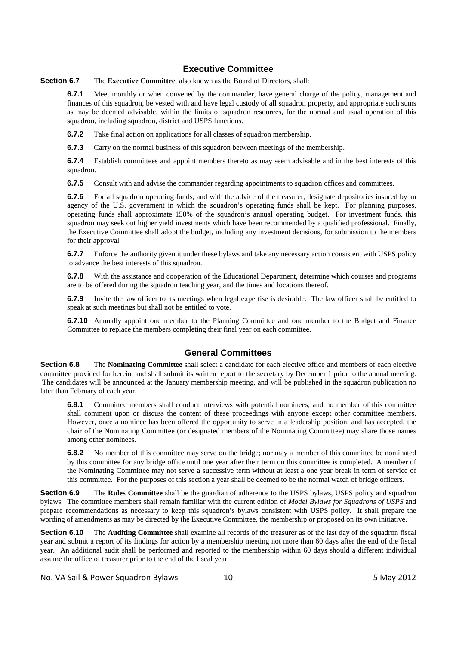#### **Executive Committee**

**Section 6.7** The **Executive Committee**, also known as the Board of Directors, shall:

**6.7.1** Meet monthly or when convened by the commander, have general charge of the policy, management and finances of this squadron, be vested with and have legal custody of all squadron property, and appropriate such sums as may be deemed advisable, within the limits of squadron resources, for the normal and usual operation of this squadron, including squadron, district and USPS functions.

**6.7.2** Take final action on applications for all classes of squadron membership.

**6.7.3** Carry on the normal business of this squadron between meetings of the membership.

**6.7.4** Establish committees and appoint members thereto as may seem advisable and in the best interests of this squadron.

**6.7.5** Consult with and advise the commander regarding appointments to squadron offices and committees.

**6.7.6** For all squadron operating funds, and with the advice of the treasurer, designate depositories insured by an agency of the U.S. government in which the squadron's operating funds shall be kept. For planning purposes, operating funds shall approximate 150% of the squadron's annual operating budget. For investment funds, this squadron may seek out higher yield investments which have been recommended by a qualified professional. Finally, the Executive Committee shall adopt the budget, including any investment decisions, for submission to the members for their approval

**6.7.7** Enforce the authority given it under these bylaws and take any necessary action consistent with USPS policy to advance the best interests of this squadron.

**6.7.8** With the assistance and cooperation of the Educational Department, determine which courses and programs are to be offered during the squadron teaching year, and the times and locations thereof.

**6.7.9** Invite the law officer to its meetings when legal expertise is desirable. The law officer shall be entitled to speak at such meetings but shall not be entitled to vote.

**6.7.10** Annually appoint one member to the Planning Committee and one member to the Budget and Finance Committee to replace the members completing their final year on each committee.

#### **General Committees**

**Section 6.8** The **Nominating Committee** shall select a candidate for each elective office and members of each elective committee provided for herein, and shall submit its written report to the secretary by December 1 prior to the annual meeting. The candidates will be announced at the January membership meeting, and will be published in the squadron publication no later than February of each year.

**6.8.1** Committee members shall conduct interviews with potential nominees, and no member of this committee shall comment upon or discuss the content of these proceedings with anyone except other committee members. However, once a nominee has been offered the opportunity to serve in a leadership position, and has accepted, the chair of the Nominating Committee (or designated members of the Nominating Committee) may share those names among other nominees.

**6.8.2** No member of this committee may serve on the bridge; nor may a member of this committee be nominated by this committee for any bridge office until one year after their term on this committee is completed. A member of the Nominating Committee may not serve a successive term without at least a one year break in term of service of this committee. For the purposes of this section a year shall be deemed to be the normal watch of bridge officers.

**Section 6.9** The **Rules Committee** shall be the guardian of adherence to the USPS bylaws, USPS policy and squadron bylaws. The committee members shall remain familiar with the current edition of *Model Bylaws for Squadrons of USPS* and prepare recommendations as necessary to keep this squadron's bylaws consistent with USPS policy. It shall prepare the wording of amendments as may be directed by the Executive Committee, the membership or proposed on its own initiative.

**Section 6.10** The **Auditing Committee** shall examine all records of the treasurer as of the last day of the squadron fiscal year and submit a report of its findings for action by a membership meeting not more than 60 days after the end of the fiscal year. An additional audit shall be performed and reported to the membership within 60 days should a different individual assume the office of treasurer prior to the end of the fiscal year.

No. VA Sail & Power Squadron Bylaws 10 10 minutes and the SM May 2012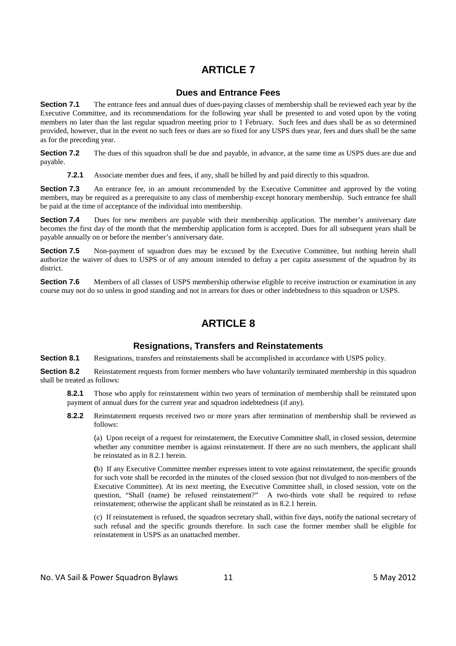#### **Dues and Entrance Fees**

**Section 7.1** The entrance fees and annual dues of dues-paying classes of membership shall be reviewed each year by the Executive Committee, and its recommendations for the following year shall be presented to and voted upon by the voting members no later than the last regular squadron meeting prior to 1 February. Such fees and dues shall be as so determined provided, however, that in the event no such fees or dues are so fixed for any USPS dues year, fees and dues shall be the same as for the preceding year.

**Section 7.2** The dues of this squadron shall be due and payable, in advance, at the same time as USPS dues are due and payable.

**7.2.1** Associate member dues and fees, if any, shall be billed by and paid directly to this squadron.

**Section 7.3** An entrance fee, in an amount recommended by the Executive Committee and approved by the voting members, may be required as a prerequisite to any class of membership except honorary membership. Such entrance fee shall be paid at the time of acceptance of the individual into membership.

**Section 7.4** Dues for new members are payable with their membership application. The member's anniversary date becomes the first day of the month that the membership application form is accepted. Dues for all subsequent years shall be payable annually on or before the member's anniversary date.

**Section 7.5** Non-payment of squadron dues may be excused by the Executive Committee, but nothing herein shall authorize the waiver of dues to USPS or of any amount intended to defray a per capita assessment of the squadron by its district.

**Section 7.6** Members of all classes of USPS membership otherwise eligible to receive instruction or examination in any course may not do so unless in good standing and not in arrears for dues or other indebtedness to this squadron or USPS.

# **ARTICLE 8**

#### **Resignations, Transfers and Reinstatements**

**Section 8.1** Resignations, transfers and reinstatements shall be accomplished in accordance with USPS policy.

**Section 8.2** Reinstatement requests from former members who have voluntarily terminated membership in this squadron shall be treated as follows:

**8.2.1** Those who apply for reinstatement within two years of termination of membership shall be reinstated upon payment of annual dues for the current year and squadron indebtedness (if any).

**8.2.2** Reinstatement requests received two or more years after termination of membership shall be reviewed as follows:

(a) Upon receipt of a request for reinstatement, the Executive Committee shall, in closed session, determine whether any committee member is against reinstatement. If there are no such members, the applicant shall be reinstated as in 8.2.1 herein.

**(**b) If any Executive Committee member expresses intent to vote against reinstatement, the specific grounds for such vote shall be recorded in the minutes of the closed session (but not divulged to non-members of the Executive Committee). At its next meeting, the Executive Committee shall, in closed session, vote on the question, "Shall (name) be refused reinstatement?" A two-thirds vote shall be required to refuse reinstatement; otherwise the applicant shall be reinstated as in 8.2.1 herein.

 (c) If reinstatement is refused, the squadron secretary shall, within five days, notify the national secretary of such refusal and the specific grounds therefore. In such case the former member shall be eligible for reinstatement in USPS as an unattached member.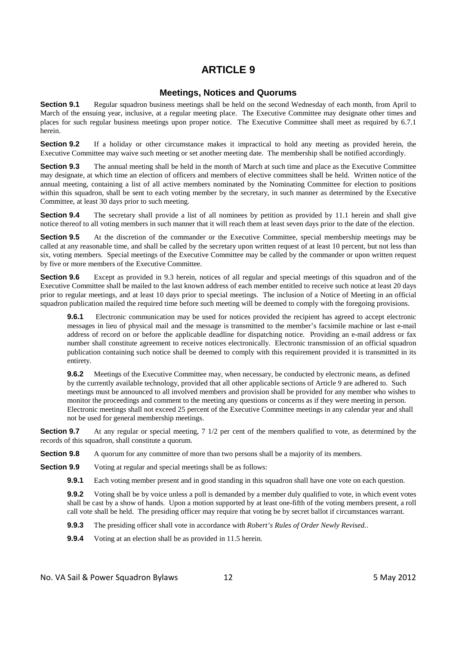#### **Meetings, Notices and Quorums**

**Section 9.1** Regular squadron business meetings shall be held on the second Wednesday of each month, from April to March of the ensuing year, inclusive, at a regular meeting place. The Executive Committee may designate other times and places for such regular business meetings upon proper notice. The Executive Committee shall meet as required by 6.7.1 herein.

**Section 9.2** If a holiday or other circumstance makes it impractical to hold any meeting as provided herein, the Executive Committee may waive such meeting or set another meeting date. The membership shall be notified accordingly.

**Section 9.3** The annual meeting shall be held in the month of March at such time and place as the Executive Committee may designate, at which time an election of officers and members of elective committees shall be held. Written notice of the annual meeting, containing a list of all active members nominated by the Nominating Committee for election to positions within this squadron, shall be sent to each voting member by the secretary, in such manner as determined by the Executive Committee, at least 30 days prior to such meeting.

**Section 9.4** The secretary shall provide a list of all nominees by petition as provided by 11.1 herein and shall give notice thereof to all voting members in such manner that it will reach them at least seven days prior to the date of the election.

**Section 9.5** At the discretion of the commander or the Executive Committee, special membership meetings may be called at any reasonable time, and shall be called by the secretary upon written request of at least 10 percent, but not less than six, voting members. Special meetings of the Executive Committee may be called by the commander or upon written request by five or more members of the Executive Committee.

**Section 9.6** Except as provided in 9.3 herein, notices of all regular and special meetings of this squadron and of the Executive Committee shall be mailed to the last known address of each member entitled to receive such notice at least 20 days prior to regular meetings, and at least 10 days prior to special meetings. The inclusion of a Notice of Meeting in an official squadron publication mailed the required time before such meeting will be deemed to comply with the foregoing provisions.

**9.6.1** Electronic communication may be used for notices provided the recipient has agreed to accept electronic messages in lieu of physical mail and the message is transmitted to the member's facsimile machine or last e-mail address of record on or before the applicable deadline for dispatching notice*.* Providing an e-mail address or fax number shall constitute agreement to receive notices electronically. Electronic transmission of an official squadron publication containing such notice shall be deemed to comply with this requirement provided it is transmitted in its entirety.

**9.6.2** Meetings of the Executive Committee may, when necessary, be conducted by electronic means, as defined by the currently available technology, provided that all other applicable sections of Article 9 are adhered to. Such meetings must be announced to all involved members and provision shall be provided for any member who wishes to monitor the proceedings and comment to the meeting any questions or concerns as if they were meeting in person. Electronic meetings shall not exceed 25 percent of the Executive Committee meetings in any calendar year and shall not be used for general membership meetings.

**Section 9.7** At any regular or special meeting, 7 1/2 per cent of the members qualified to vote, as determined by the records of this squadron, shall constitute a quorum.

**Section 9.8** A quorum for any committee of more than two persons shall be a majority of its members.

**Section 9.9** Voting at regular and special meetings shall be as follows:

**9.9.1** Each voting member present and in good standing in this squadron shall have one vote on each question.

**9.9.2** Voting shall be by voice unless a poll is demanded by a member duly qualified to vote, in which event votes shall be cast by a show of hands. Upon a motion supported by at least one-fifth of the voting members present, a roll call vote shall be held. The presiding officer may require that voting be by secret ballot if circumstances warrant.

**9.9.3** The presiding officer shall vote in accordance with *Robert's Rules of Order Newly Revised.*.

**9.9.4** Voting at an election shall be as provided in 11.5 herein.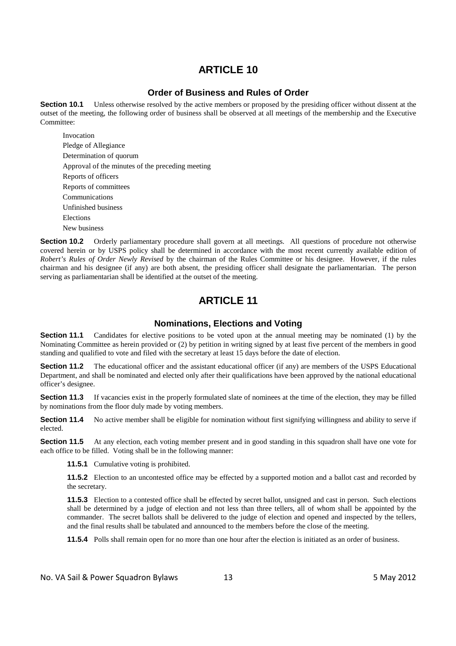#### **Order of Business and Rules of Order**

**Section 10.1** Unless otherwise resolved by the active members or proposed by the presiding officer without dissent at the outset of the meeting, the following order of business shall be observed at all meetings of the membership and the Executive Committee:

 Invocation Pledge of Allegiance Determination of quorum Approval of the minutes of the preceding meeting Reports of officers Reports of committees Communications Unfinished business Elections New business

**Section 10.2** Orderly parliamentary procedure shall govern at all meetings. All questions of procedure not otherwise covered herein or by USPS policy shall be determined in accordance with the most recent currently available edition of *Robert's Rules of Order Newly Revised* by the chairman of the Rules Committee or his designee. However, if the rules chairman and his designee (if any) are both absent, the presiding officer shall designate the parliamentarian. The person serving as parliamentarian shall be identified at the outset of the meeting.

# **ARTICLE 11**

#### **Nominations, Elections and Voting**

**Section 11.1** Candidates for elective positions to be voted upon at the annual meeting may be nominated (1) by the Nominating Committee as herein provided or (2) by petition in writing signed by at least five percent of the members in good standing and qualified to vote and filed with the secretary at least 15 days before the date of election.

**Section 11.2** The educational officer and the assistant educational officer (if any) are members of the USPS Educational Department, and shall be nominated and elected only after their qualifications have been approved by the national educational officer's designee.

**Section 11.3** If vacancies exist in the properly formulated slate of nominees at the time of the election, they may be filled by nominations from the floor duly made by voting members.

**Section 11.4** No active member shall be eligible for nomination without first signifying willingness and ability to serve if elected.

**Section 11.5** At any election, each voting member present and in good standing in this squadron shall have one vote for each office to be filled. Voting shall be in the following manner:

**11.5.1** Cumulative voting is prohibited.

**11.5.2** Election to an uncontested office may be effected by a supported motion and a ballot cast and recorded by the secretary.

**11.5.3** Election to a contested office shall be effected by secret ballot, unsigned and cast in person. Such elections shall be determined by a judge of election and not less than three tellers, all of whom shall be appointed by the commander. The secret ballots shall be delivered to the judge of election and opened and inspected by the tellers, and the final results shall be tabulated and announced to the members before the close of the meeting.

**11.5.4** Polls shall remain open for no more than one hour after the election is initiated as an order of business.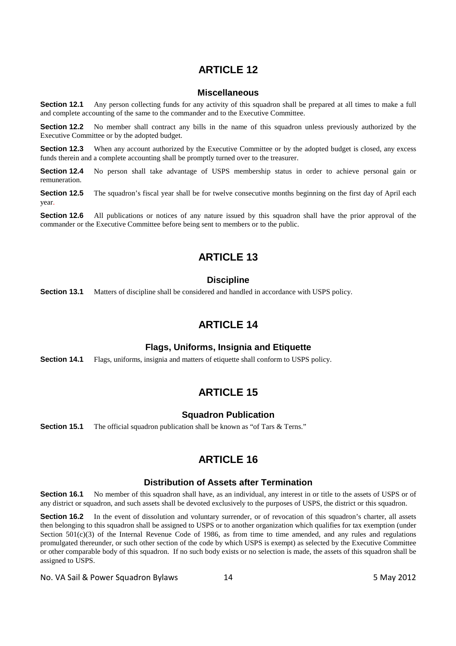#### **Miscellaneous**

**Section 12.1** Any person collecting funds for any activity of this squadron shall be prepared at all times to make a full and complete accounting of the same to the commander and to the Executive Committee.

**Section 12.2** No member shall contract any bills in the name of this squadron unless previously authorized by the Executive Committee or by the adopted budget.

**Section 12.3** When any account authorized by the Executive Committee or by the adopted budget is closed, any excess funds therein and a complete accounting shall be promptly turned over to the treasurer.

**Section 12.4** No person shall take advantage of USPS membership status in order to achieve personal gain or remuneration.

**Section 12.5** The squadron's fiscal year shall be for twelve consecutive months beginning on the first day of April each year.

**Section 12.6** All publications or notices of any nature issued by this squadron shall have the prior approval of the commander or the Executive Committee before being sent to members or to the public.

# **ARTICLE 13**

#### **Discipline**

**Section 13.1** Matters of discipline shall be considered and handled in accordance with USPS policy.

# **ARTICLE 14**

#### **Flags, Uniforms, Insignia and Etiquette**

**Section 14.1** Flags, uniforms, insignia and matters of etiquette shall conform to USPS policy.

# **ARTICLE 15**

#### **Squadron Publication**

**Section 15.1** The official squadron publication shall be known as "of Tars & Terns."

# **ARTICLE 16**

#### **Distribution of Assets after Termination**

**Section 16.1** No member of this squadron shall have, as an individual, any interest in or title to the assets of USPS or of any district or squadron, and such assets shall be devoted exclusively to the purposes of USPS, the district or this squadron.

**Section 16.2** In the event of dissolution and voluntary surrender, or of revocation of this squadron's charter, all assets then belonging to this squadron shall be assigned to USPS or to another organization which qualifies for tax exemption (under Section  $501(c)(3)$  of the Internal Revenue Code of 1986, as from time to time amended, and any rules and regulations promulgated thereunder, or such other section of the code by which USPS is exempt) as selected by the Executive Committee or other comparable body of this squadron. If no such body exists or no selection is made, the assets of this squadron shall be assigned to USPS.

No. VA Sail & Power Squadron Bylaws 14 14 May 2012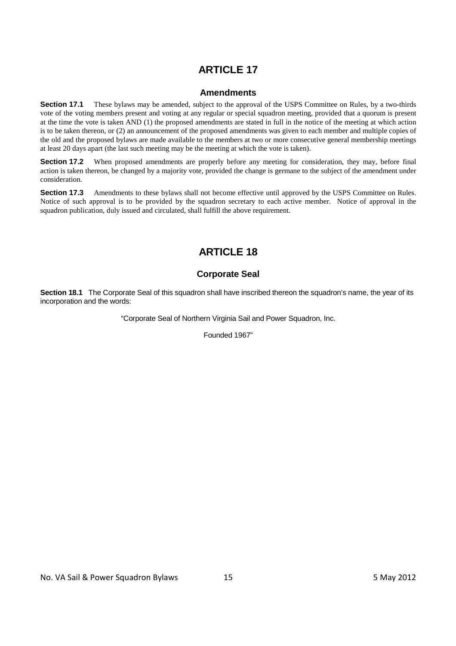#### **Amendments**

**Section 17.1** These bylaws may be amended, subject to the approval of the USPS Committee on Rules, by a two-thirds vote of the voting members present and voting at any regular or special squadron meeting, provided that a quorum is present at the time the vote is taken AND (1) the proposed amendments are stated in full in the notice of the meeting at which action is to be taken thereon, or (2) an announcement of the proposed amendments was given to each member and multiple copies of the old and the proposed bylaws are made available to the members at two or more consecutive general membership meetings at least 20 days apart (the last such meeting may be the meeting at which the vote is taken).

**Section 17.2** When proposed amendments are properly before any meeting for consideration, they may, before final action is taken thereon, be changed by a majority vote, provided the change is germane to the subject of the amendment under consideration.

**Section 17.3** Amendments to these bylaws shall not become effective until approved by the USPS Committee on Rules. Notice of such approval is to be provided by the squadron secretary to each active member. Notice of approval in the squadron publication, duly issued and circulated, shall fulfill the above requirement.

# **ARTICLE 18**

## **Corporate Seal**

**Section 18.1** The Corporate Seal of this squadron shall have inscribed thereon the squadron's name, the year of its incorporation and the words:

"Corporate Seal of Northern Virginia Sail and Power Squadron, Inc.

Founded 1967"